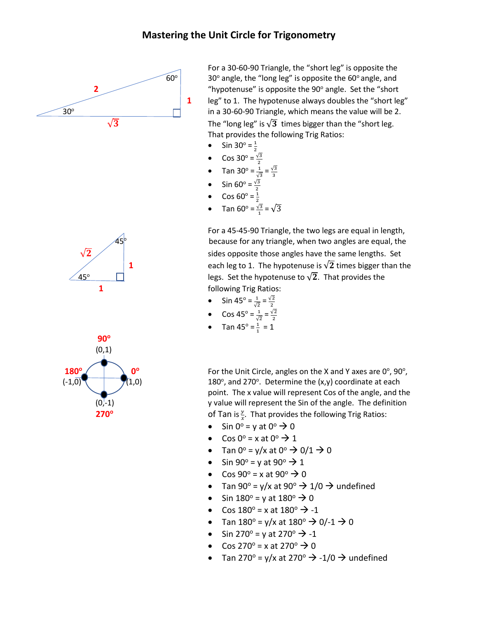## **Mastering the Unit Circle for Trigonometry**



For a 30-60-90 Triangle, the "short leg" is opposite the  $60^\circ$  30° angle, the "long leg" is opposite the  $60^\circ$  angle, and **2 1** "hypotenuse" is opposite the 90° angle. Set the "short" **1** leg" to 1. The hypotenuse always doubles the "short leg" in a 30-60-90 Triangle, which means the value will be 2.

 $\sqrt{3}$  The "long leg" is  $\sqrt{3}$  times bigger than the "short leg. That provides the following Trig Ratios:

- Sin 30 $^{\circ}$  =  $\frac{1}{2}$ 2
- Cos 30° =  $\frac{\sqrt{3}}{2}$
- Tan 30° =  $\frac{1}{\sqrt{3}}$  $\frac{1}{\sqrt{3}} = \frac{\sqrt{3}}{3}$
- Sin 60° =  $\frac{\sqrt{3}}{2}$
- Cos 60 $^{\circ}$  =  $\frac{1}{2}$
- Tan 60<sup>o</sup> =  $\frac{\sqrt{3}}{1}$  =  $\sqrt{3}$

For a 45-45-90 Triangle, the two legs are equal in length, because for any triangle, when two angles are equal, the sides opposite those angles have the same lengths. Set **1** each leg to 1. The hypotenuse is  $\sqrt{2}$  times bigger than the legs. Set the hypotenuse to  $\sqrt{2}$ . That provides the

- Sin 45° =  $\frac{1}{\sqrt{2}}$  $\frac{1}{\sqrt{2}} = \frac{\sqrt{2}}{2}$
- Cos 45° =  $\frac{1}{\sqrt{2}}$  $\frac{1}{\sqrt{2}} = \frac{\sqrt{2}}{2}$
- Tan 45° =  $\frac{1}{1}$  $\frac{1}{1}$  = 1

For the Unit Circle, angles on the X and Y axes are  $0^\circ$ , 90 $^\circ$ , , and 270 $^{\circ}$ . Determine the  $(x,y)$  coordinate at each point. The x value will represent Cos of the angle, and the  $(0,-1)$  y value will represent the Sin of the angle. The definition

- Sin  $0^\circ = v$  at  $0^\circ \rightarrow 0$
- Cos 0<sup>o</sup> = x at 0<sup>o</sup>  $\rightarrow$  1
- Tan  $0^\circ = v/x$  at  $0^\circ \rightarrow 0/1 \rightarrow 0$
- Sin 90 $\degree$  = y at 90 $\degree$   $\rightarrow$  1
- Cos  $90^\circ = x$  at  $90^\circ \rightarrow 0$
- Tan 90° = y/x at 90°  $\rightarrow$  1/0  $\rightarrow$  undefined
- Sin  $180^\circ$  = y at  $180^\circ \rightarrow 0$
- Cos  $180^{\circ} = x$  at  $180^{\circ} \rightarrow -1$
- Tan  $180^{\circ} = y/x$  at  $180^{\circ} \to 0/-1 \to 0$
- Sin 270 $^{\circ}$  = y at 270 $^{\circ}$   $\rightarrow$  -1
- Cos 270 $^{\circ}$  = x at 270 $^{\circ}$   $\rightarrow$  0
- Tan 270<sup>o</sup> = y/x at 270<sup>o</sup>  $\rightarrow$  -1/0  $\rightarrow$  undefined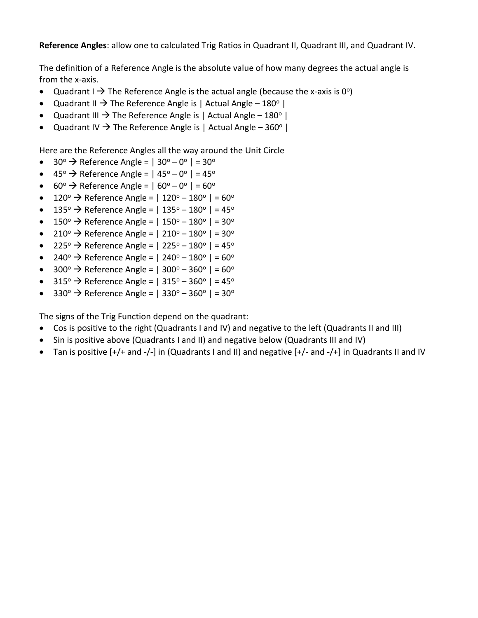**Reference Angles**: allow one to calculated Trig Ratios in Quadrant II, Quadrant III, and Quadrant IV.

The definition of a Reference Angle is the absolute value of how many degrees the actual angle is from the x-axis.

- Quadrant I  $\rightarrow$  The Reference Angle is the actual angle (because the x-axis is 0°)
- Quadrant II  $\rightarrow$  The Reference Angle is | Actual Angle 180 $^{\circ}$  |
- Quadrant III  $\rightarrow$  The Reference Angle is | Actual Angle 180 $^{\circ}$  |
- Quadrant IV  $\rightarrow$  The Reference Angle is | Actual Angle 360° |

Here are the Reference Angles all the way around the Unit Circle

- 30<sup>°</sup> → Reference Angle =  $|30^{\circ} 0^{\circ}| = 30^{\circ}$
- 45<sup>°</sup> → Reference Angle =  $|45^{\circ} 0^{\circ}| = 45^{\circ}$
- $60^\circ \rightarrow$  Reference Angle =  $|60^\circ 0^\circ| = 60^\circ$
- 120<sup>o</sup>  $\rightarrow$  Reference Angle = | 120<sup>o</sup> 180<sup>o</sup> | = 60<sup>o</sup>
- 135<sup>o</sup>  $\rightarrow$  Reference Angle = | 135<sup>o</sup> 180<sup>o</sup> | = 45<sup>o</sup>
- 150<sup>o</sup>  $\rightarrow$  Reference Angle = | 150<sup>o</sup> 180<sup>o</sup> | = 30<sup>o</sup>
- 210<sup>o</sup>  $\rightarrow$  Reference Angle = | 210<sup>o</sup> 180<sup>o</sup> | = 30<sup>o</sup>
- 225<sup>°</sup>  $\rightarrow$  Reference Angle = | 225<sup>°</sup> 180<sup>°</sup> | = 45<sup>°</sup>
- 240<sup>o</sup>  $\rightarrow$  Reference Angle = | 240<sup>o</sup> 180<sup>o</sup> | = 60<sup>o</sup>
- 300 $\degree$  > Reference Angle = | 300 $\degree$  360 $\degree$  | = 60 $\degree$
- $315^{\circ}$   $\rightarrow$  Reference Angle = |  $315^{\circ}$   $360^{\circ}$  | =  $45^{\circ}$
- $330^{\circ}$   $\rightarrow$  Reference Angle = |  $330^{\circ}$   $360^{\circ}$  | =  $30^{\circ}$

The signs of the Trig Function depend on the quadrant:

- Cos is positive to the right (Quadrants I and IV) and negative to the left (Quadrants II and III)
- Sin is positive above (Quadrants I and II) and negative below (Quadrants III and IV)
- Tan is positive [+/+ and -/-] in (Quadrants I and II) and negative [+/- and -/+] in Quadrants II and IV